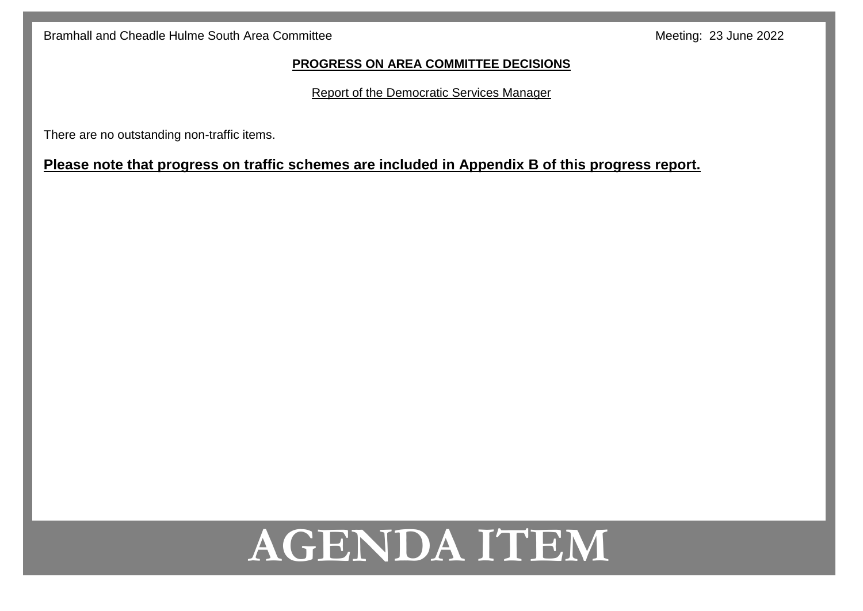#### **PROGRESS ON AREA COMMITTEE DECISIONS**

Report of the Democratic Services Manager

There are no outstanding non-traffic items.

# **Please note that progress on traffic schemes are included in Appendix B of this progress report.**

# **AGENDA ITEM**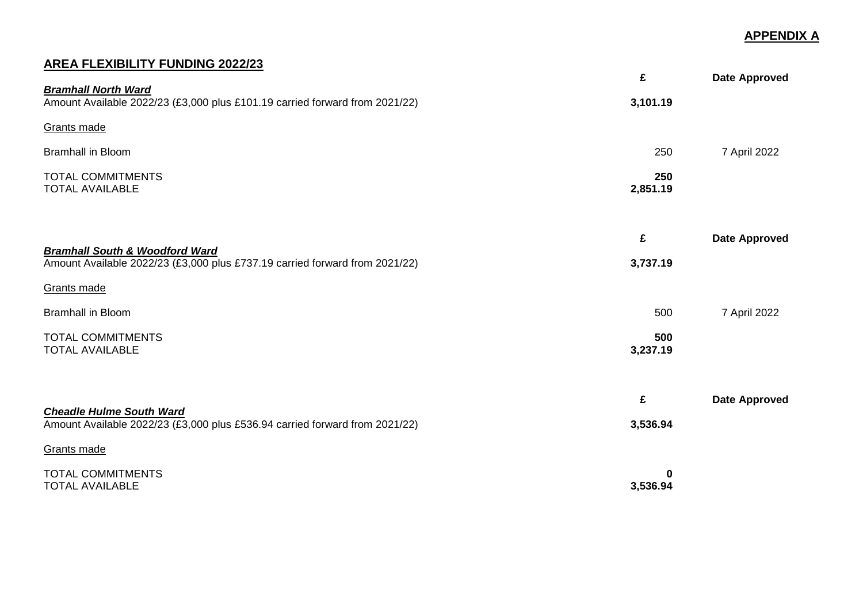### **APPENDIX A**

# **AREA FLEXIBILITY FUNDING 2022/23**

| <b>Bramhall North Ward</b>                                                                                               | £               | Date Approved        |
|--------------------------------------------------------------------------------------------------------------------------|-----------------|----------------------|
| Amount Available 2022/23 (£3,000 plus £101.19 carried forward from 2021/22)                                              | 3,101.19        |                      |
| Grants made                                                                                                              |                 |                      |
| <b>Bramhall in Bloom</b>                                                                                                 | 250             | 7 April 2022         |
| <b>TOTAL COMMITMENTS</b><br><b>TOTAL AVAILABLE</b>                                                                       | 250<br>2,851.19 |                      |
|                                                                                                                          | £               | <b>Date Approved</b> |
| <b>Bramhall South &amp; Woodford Ward</b><br>Amount Available 2022/23 (£3,000 plus £737.19 carried forward from 2021/22) | 3,737.19        |                      |
| Grants made                                                                                                              |                 |                      |
| <b>Bramhall in Bloom</b>                                                                                                 | 500             | 7 April 2022         |
| <b>TOTAL COMMITMENTS</b><br><b>TOTAL AVAILABLE</b>                                                                       | 500<br>3,237.19 |                      |
| <b>Cheadle Hulme South Ward</b>                                                                                          | £               | <b>Date Approved</b> |
| Amount Available 2022/23 (£3,000 plus £536.94 carried forward from 2021/22)                                              | 3,536.94        |                      |
| Grants made                                                                                                              |                 |                      |
| <b>TOTAL COMMITMENTS</b><br><b>TOTAL AVAILABLE</b>                                                                       | 0<br>3,536.94   |                      |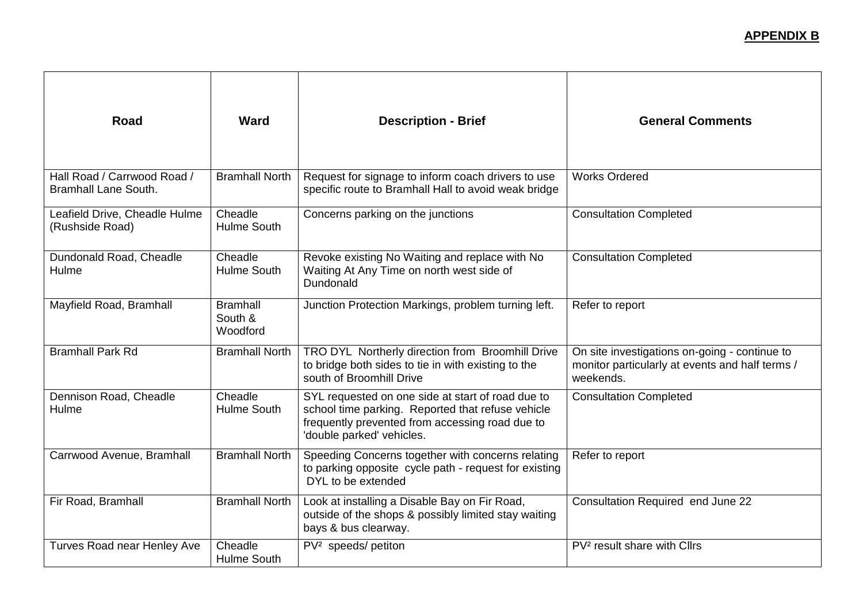# **APPENDIX B**

| <b>Road</b>                                                | <b>Ward</b>                            | <b>Description - Brief</b>                                                                                                                                                             | <b>General Comments</b>                                                                                       |
|------------------------------------------------------------|----------------------------------------|----------------------------------------------------------------------------------------------------------------------------------------------------------------------------------------|---------------------------------------------------------------------------------------------------------------|
| Hall Road / Carrwood Road /<br><b>Bramhall Lane South.</b> | <b>Bramhall North</b>                  | Request for signage to inform coach drivers to use<br>specific route to Bramhall Hall to avoid weak bridge                                                                             | <b>Works Ordered</b>                                                                                          |
| Leafield Drive, Cheadle Hulme<br>(Rushside Road)           | Cheadle<br><b>Hulme South</b>          | Concerns parking on the junctions                                                                                                                                                      | <b>Consultation Completed</b>                                                                                 |
| Dundonald Road, Cheadle<br>Hulme                           | Cheadle<br><b>Hulme South</b>          | Revoke existing No Waiting and replace with No<br>Waiting At Any Time on north west side of<br>Dundonald                                                                               | <b>Consultation Completed</b>                                                                                 |
| Mayfield Road, Bramhall                                    | <b>Bramhall</b><br>South &<br>Woodford | Junction Protection Markings, problem turning left.                                                                                                                                    | Refer to report                                                                                               |
| <b>Bramhall Park Rd</b>                                    | <b>Bramhall North</b>                  | TRO DYL Northerly direction from Broomhill Drive<br>to bridge both sides to tie in with existing to the<br>south of Broomhill Drive                                                    | On site investigations on-going - continue to<br>monitor particularly at events and half terms /<br>weekends. |
| Dennison Road, Cheadle<br>Hulme                            | Cheadle<br>Hulme South                 | SYL requested on one side at start of road due to<br>school time parking. Reported that refuse vehicle<br>frequently prevented from accessing road due to<br>'double parked' vehicles. | <b>Consultation Completed</b>                                                                                 |
| Carrwood Avenue, Bramhall                                  | <b>Bramhall North</b>                  | Speeding Concerns together with concerns relating<br>to parking opposite cycle path - request for existing<br>DYL to be extended                                                       | Refer to report                                                                                               |
| Fir Road, Bramhall                                         | <b>Bramhall North</b>                  | Look at installing a Disable Bay on Fir Road,<br>outside of the shops & possibly limited stay waiting<br>bays & bus clearway.                                                          | Consultation Required end June 22                                                                             |
| <b>Turves Road near Henley Ave</b>                         | Cheadle<br><b>Hulme South</b>          | PV <sup>2</sup> speeds/ petiton                                                                                                                                                        | PV <sup>2</sup> result share with Cllrs                                                                       |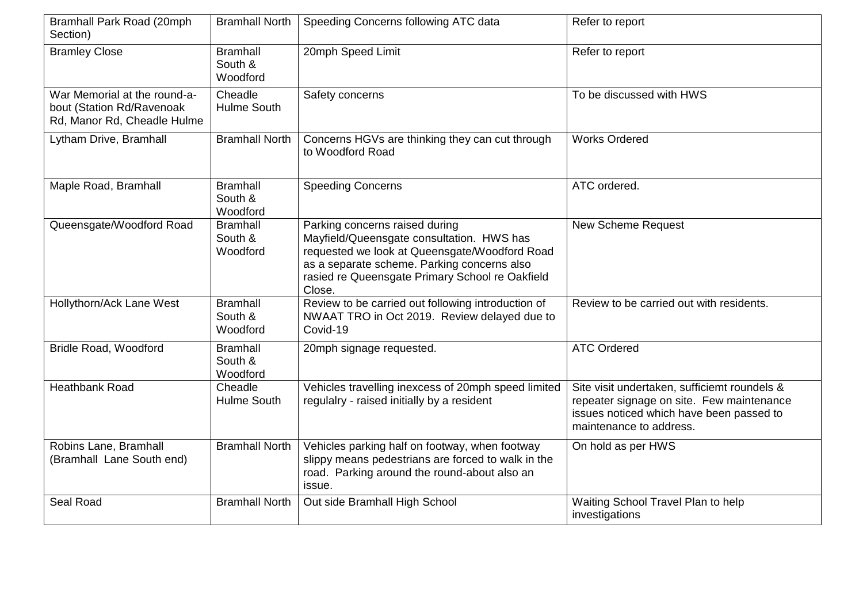| Bramhall Park Road (20mph<br>Section)                                                    | <b>Bramhall North</b>                  | Speeding Concerns following ATC data                                                                                                                                                                                                     | Refer to report                                                                                                                                                  |
|------------------------------------------------------------------------------------------|----------------------------------------|------------------------------------------------------------------------------------------------------------------------------------------------------------------------------------------------------------------------------------------|------------------------------------------------------------------------------------------------------------------------------------------------------------------|
| <b>Bramley Close</b>                                                                     | <b>Bramhall</b><br>South &<br>Woodford | 20mph Speed Limit                                                                                                                                                                                                                        | Refer to report                                                                                                                                                  |
| War Memorial at the round-a-<br>bout (Station Rd/Ravenoak<br>Rd, Manor Rd, Cheadle Hulme | Cheadle<br><b>Hulme South</b>          | Safety concerns                                                                                                                                                                                                                          | To be discussed with HWS                                                                                                                                         |
| Lytham Drive, Bramhall                                                                   | <b>Bramhall North</b>                  | Concerns HGVs are thinking they can cut through<br>to Woodford Road                                                                                                                                                                      | <b>Works Ordered</b>                                                                                                                                             |
| Maple Road, Bramhall                                                                     | <b>Bramhall</b><br>South &<br>Woodford | <b>Speeding Concerns</b>                                                                                                                                                                                                                 | ATC ordered.                                                                                                                                                     |
| Queensgate/Woodford Road                                                                 | <b>Bramhall</b><br>South &<br>Woodford | Parking concerns raised during<br>Mayfield/Queensgate consultation. HWS has<br>requested we look at Queensgate/Woodford Road<br>as a separate scheme. Parking concerns also<br>rasied re Queensgate Primary School re Oakfield<br>Close. | <b>New Scheme Request</b>                                                                                                                                        |
| Hollythorn/Ack Lane West                                                                 | <b>Bramhall</b><br>South &<br>Woodford | Review to be carried out following introduction of<br>NWAAT TRO in Oct 2019. Review delayed due to<br>Covid-19                                                                                                                           | Review to be carried out with residents.                                                                                                                         |
| Bridle Road, Woodford                                                                    | <b>Bramhall</b><br>South &<br>Woodford | 20mph signage requested.                                                                                                                                                                                                                 | <b>ATC Ordered</b>                                                                                                                                               |
| <b>Heathbank Road</b>                                                                    | Cheadle<br>Hulme South                 | Vehicles travelling inexcess of 20mph speed limited<br>regulalry - raised initially by a resident                                                                                                                                        | Site visit undertaken, sufficiemt roundels &<br>repeater signage on site. Few maintenance<br>issues noticed which have been passed to<br>maintenance to address. |
| Robins Lane, Bramhall<br>(Bramhall Lane South end)                                       | <b>Bramhall North</b>                  | Vehicles parking half on footway, when footway<br>slippy means pedestrians are forced to walk in the<br>road. Parking around the round-about also an<br>issue.                                                                           | On hold as per HWS                                                                                                                                               |
| Seal Road                                                                                | <b>Bramhall North</b>                  | Out side Bramhall High School                                                                                                                                                                                                            | Waiting School Travel Plan to help<br>investigations                                                                                                             |